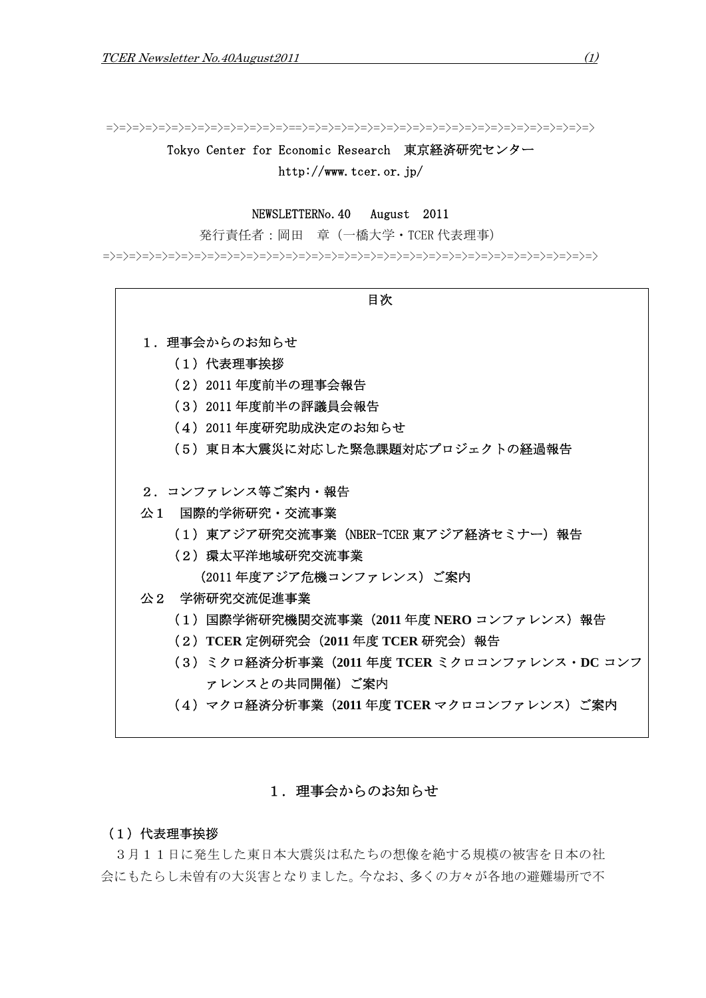=>=>=>=>=>=>=>=>=>=>=>=>=>=>==>=>=>=>=>=>=>=>=>=>=>=>=>=>=>=>=>=>=>=>=>=>=>

Tokyo Center for Economic Research 東京経済研究センター http://www.tcer.or.jp/

# NEWSLETTERNo.40 August 2011

発行責任者:岡田 章(一橋大学・TCER 代表理事)

=>=>=>=>=>=>=>=>=>=>=>=>=>=>=>=>=>=>=>=>=>=>=>=>=>=>=>=>=>=>=>=>=>=>=>=>=>=>

- 目次 1. 理事会からのお知らせ (1)代表理事挨拶 (2)2011 年度前半の理事会報告 (3)2011 年度前半の評議員会報告 (4)2011 年度研究助成決定のお知らせ (5)東日本大震災に対応した緊急課題対応プロジェクトの経過報告 2.コンファレンス等ご案内・報告 公1 国際的学術研究・交流事業 (1)東アジア研究交流事業(NBER-TCER 東アジア経済セミナー)報告 (2)環太平洋地域研究交流事業 (2011 年度アジア危機コンファレンス)ご案内 公2 学術研究交流促進事業 (1)国際学術研究機関交流事業(**2011** 年度 **NERO** コンファレンス)報告 (2)**TCER** 定例研究会(**2011** 年度 **TCER** 研究会)報告 (3)ミクロ経済分析事業(**2011** 年度 **TCER** ミクロコンファレンス・**DC** コンフ
	- ァレンスとの共同開催)ご案内
	- (4)マクロ経済分析事業(**2011** 年度 **TCER** マクロコンファレンス)ご案内

# 1. 理事会からのお知らせ

### (1) 代表理事挨拶

 3月11日に発生した東日本大震災は私たちの想像を絶する規模の被害を日本の社 会にもたらし未曽有の大災害となりました。今なお、多くの方々が各地の避難場所で不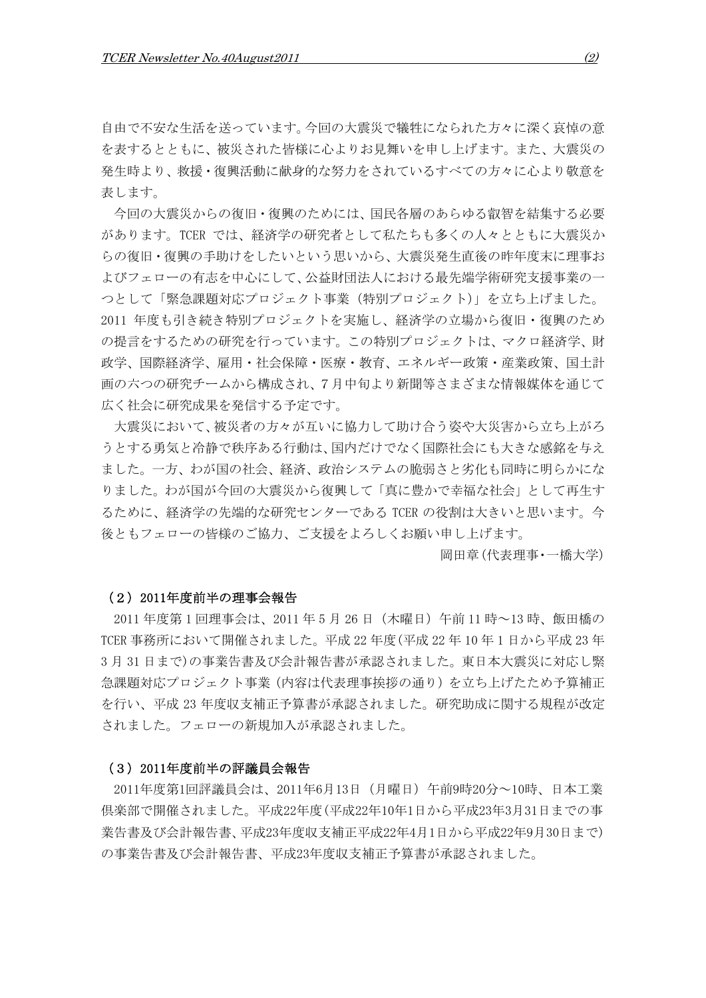自由で不安な生活を送っています。今回の大震災で犠牲になられた方々に深く哀悼の意 を表するとともに、被災された皆様に心よりお見舞いを申し上げます。また、大震災の 発生時より、救援・復興活動に献身的な努力をされているすべての方々に心より敬意を 表します。

今回の大震災からの復旧・復興のためには、国民各層のあらゆる叡智を結集する必要 があります。TCER では、経済学の研究者として私たちも多くの人々とともに大震災か らの復旧・復興の手助けをしたいという思いから、大震災発生直後の昨年度末に理事お よびフェローの有志を中心にして、公益財団法人における最先端学術研究支援事業の一 つとして「緊急課題対応プロジェクト事業(特別プロジェクト)」を立ち上げました。 2011 年度も引き続き特別プロジェクトを実施し、経済学の立場から復旧・復興のため の提言をするための研究を行っています。この特別プロジェクトは、マクロ経済学、財 政学、国際経済学、雇用・社会保障・医療・教育、エネルギー政策・産業政策、国土計 画の六つの研究チームから構成され、7月中旬より新聞等さまざまな情報媒体を通じて 広く社会に研究成果を発信する予定です。

大震災において、被災者の方々が互いに協力して助け合う姿や大災害から立ち上がろ うとする勇気と冷静で秩序ある行動は、国内だけでなく国際社会にも大きな感銘を与え ました。一方、わが国の社会、経済、政治システムの脆弱さと劣化も同時に明らかにな りました。わが国が今回の大震災から復興して「真に豊かで幸福な社会」として再生す るために、経済学の先端的な研究センターである TCER の役割は大きいと思います。今 後ともフェローの皆様のご協力、ご支援をよろしくお願い申し上げます。

岡田章(代表理事・一橋大学)

### (2)2011年度前半の理事会報告

2011 年度第 1 回理事会は、2011 年 5 月 26 日(木曜日)午前 11 時~13 時、飯田橋の TCER 事務所において開催されました。平成 22 年度(平成 22 年 10 年 1 日から平成 23 年 3 月 31 日まで)の事業告書及び会計報告書が承認されました。東日本大震災に対応し緊 急課題対応プロジェクト事業(内容は代表理事挨拶の通り)を立ち上げたため予算補正 を行い、平成 23 年度収支補正予算書が承認されました。研究助成に関する規程が改定 されました。フェローの新規加入が承認されました。

#### (3)2011年度前半の評議員会報告

2011年度第1回評議員会は、2011年6月13日(月曜日)午前9時20分~10時、日本工業 倶楽部で開催されました。平成22年度(平成22年10年1日から平成23年3月31日までの事 業告書及び会計報告書、平成23年度収支補正平成22年4月1日から平成22年9月30日まで) の事業告書及び会計報告書、平成23年度収支補正予算書が承認されました。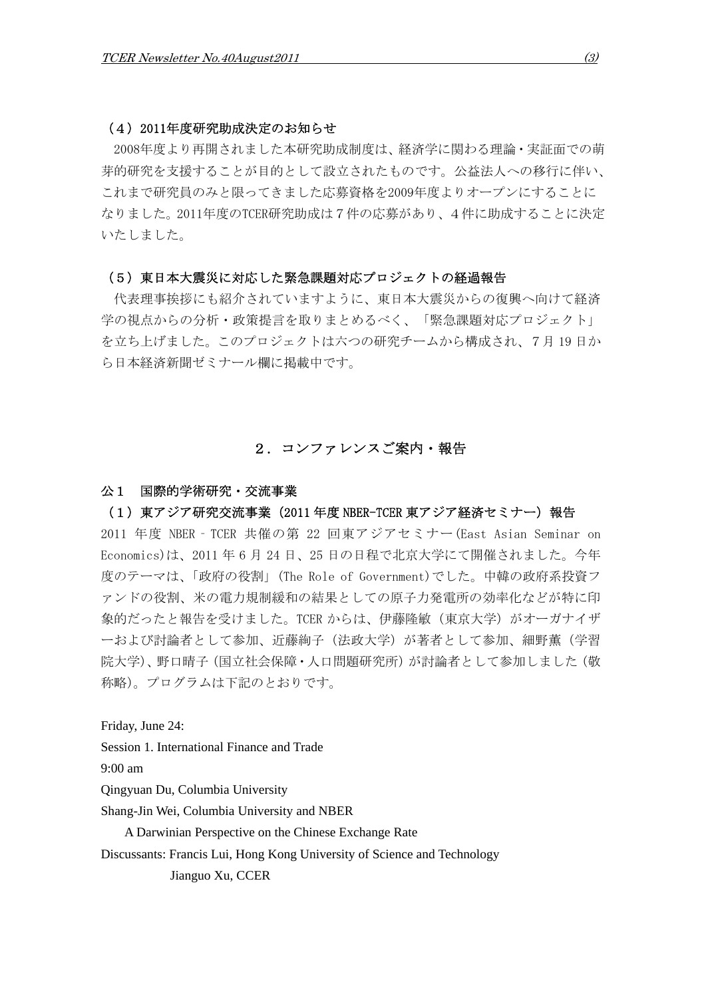### (4)2011年度研究助成決定のお知らせ

2008年度より再開されました本研究助成制度は、経済学に関わる理論・実証面での萌 芽的研究を支援することが目的として設立されたものです。公益法人への移行に伴い、 これまで研究員のみと限ってきました応募資格を2009年度よりオープンにすることに なりました。2011年度のTCER研究助成は7件の応募があり、4件に助成することに決定 いたしました。

### (5)東日本大震災に対応した緊急課題対応プロジェクトの経過報告

代表理事挨拶にも紹介されていますように、東日本大震災からの復興へ向けて経済 学の視点からの分析・政策提言を取りまとめるべく、「緊急課題対応プロジェクト」 を立ち上げました。このプロジェクトは六つの研究チームから構成され、7月 19 日か ら日本経済新聞ゼミナール欄に掲載中です。

# 2.コンファレンスご案内・報告

## 公1 国際的学術研究・交流事業

### (1)東アジア研究交流事業(2011 年度 NBER-TCER 東アジア経済セミナー)報告

2011 年度 NBER‐TCER 共催の第 22 回東アジアセミナー(East Asian Seminar on Economics)は、2011 年 6 月 24 日、25 日の日程で北京大学にて開催されました。今年 度のテーマは、「政府の役割」(The Role of Government)でした。中韓の政府系投資フ ァンドの役割、米の電力規制緩和の結果としての原子力発電所の効率化などが特に印 象的だったと報告を受けました。TCER からは、伊藤隆敏 (東京大学) がオーガナイザ ーおよび討論者として参加、近藤絢子(法政大学)が著者として参加、細野薫(学習 院大学)、野口晴子(国立社会保障·人口問題研究所)が討論者として参加しました(敬 称略)。プログラムは下記のとおりです。

Friday, June 24:

Session 1. International Finance and Trade

9:00 am

Qingyuan Du, Columbia University

Shang-Jin Wei, Columbia University and NBER

A Darwinian Perspective on the Chinese Exchange Rate

Discussants: Francis Lui, Hong Kong University of Science and Technology

Jianguo Xu, CCER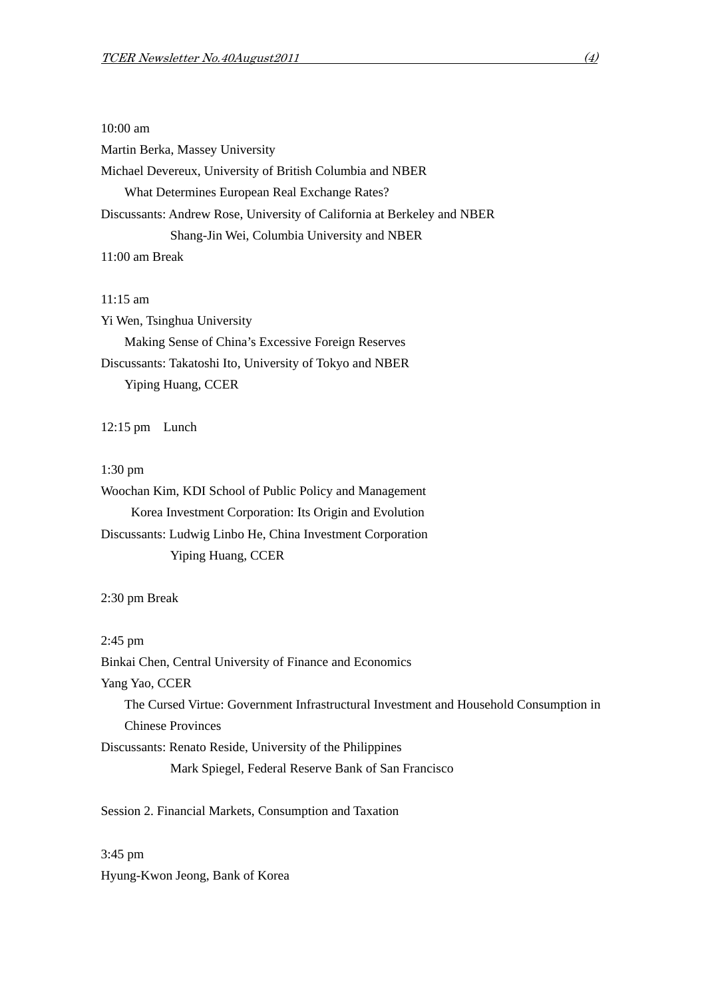### 10:00 am

Martin Berka, Massey University

Michael Devereux, University of British Columbia and NBER What Determines European Real Exchange Rates? Discussants: Andrew Rose, University of California at Berkeley and NBER Shang-Jin Wei, Columbia University and NBER 11:00 am Break

#### 11:15 am

Yi Wen, Tsinghua University Making Sense of China's Excessive Foreign Reserves Discussants: Takatoshi Ito, University of Tokyo and NBER Yiping Huang, CCER

12:15 pm Lunch

### 1:30 pm

Woochan Kim, KDI School of Public Policy and Management Korea Investment Corporation: Its Origin and Evolution Discussants: Ludwig Linbo He, China Investment Corporation Yiping Huang, CCER

2:30 pm Break

2:45 pm

Binkai Chen, Central University of Finance and Economics

Yang Yao, CCER

The Cursed Virtue: Government Infrastructural Investment and Household Consumption in Chinese Provinces

Discussants: Renato Reside, University of the Philippines

Mark Spiegel, Federal Reserve Bank of San Francisco

Session 2. Financial Markets, Consumption and Taxation

3:45 pm Hyung-Kwon Jeong, Bank of Korea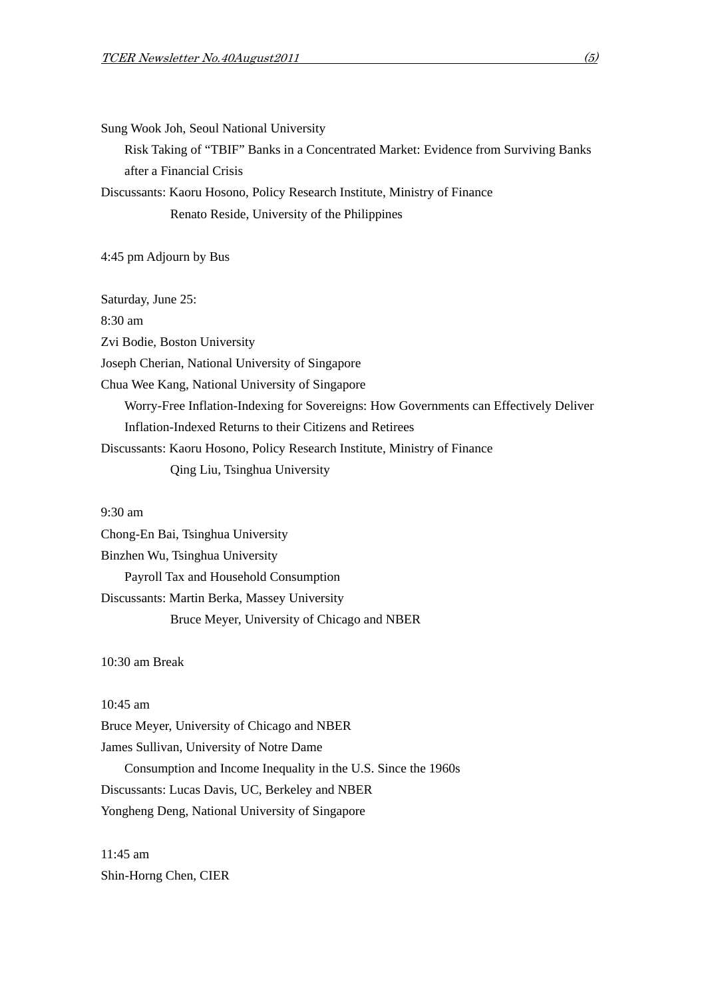Sung Wook Joh, Seoul National University

Risk Taking of "TBIF" Banks in a Concentrated Market: Evidence from Surviving Banks after a Financial Crisis

Discussants: Kaoru Hosono, Policy Research Institute, Ministry of Finance Renato Reside, University of the Philippines

4:45 pm Adjourn by Bus

Saturday, June 25: 8:30 am Zvi Bodie, Boston University Joseph Cherian, National University of Singapore Chua Wee Kang, National University of Singapore Worry-Free Inflation-Indexing for Sovereigns: How Governments can Effectively Deliver Inflation-Indexed Returns to their Citizens and Retirees Discussants: Kaoru Hosono, Policy Research Institute, Ministry of Finance Qing Liu, Tsinghua University

9:30 am

Chong-En Bai, Tsinghua University Binzhen Wu, Tsinghua University Payroll Tax and Household Consumption Discussants: Martin Berka, Massey University Bruce Meyer, University of Chicago and NBER

10:30 am Break

10:45 am

Bruce Meyer, University of Chicago and NBER

James Sullivan, University of Notre Dame

Consumption and Income Inequality in the U.S. Since the 1960s Discussants: Lucas Davis, UC, Berkeley and NBER Yongheng Deng, National University of Singapore

11:45 am Shin-Horng Chen, CIER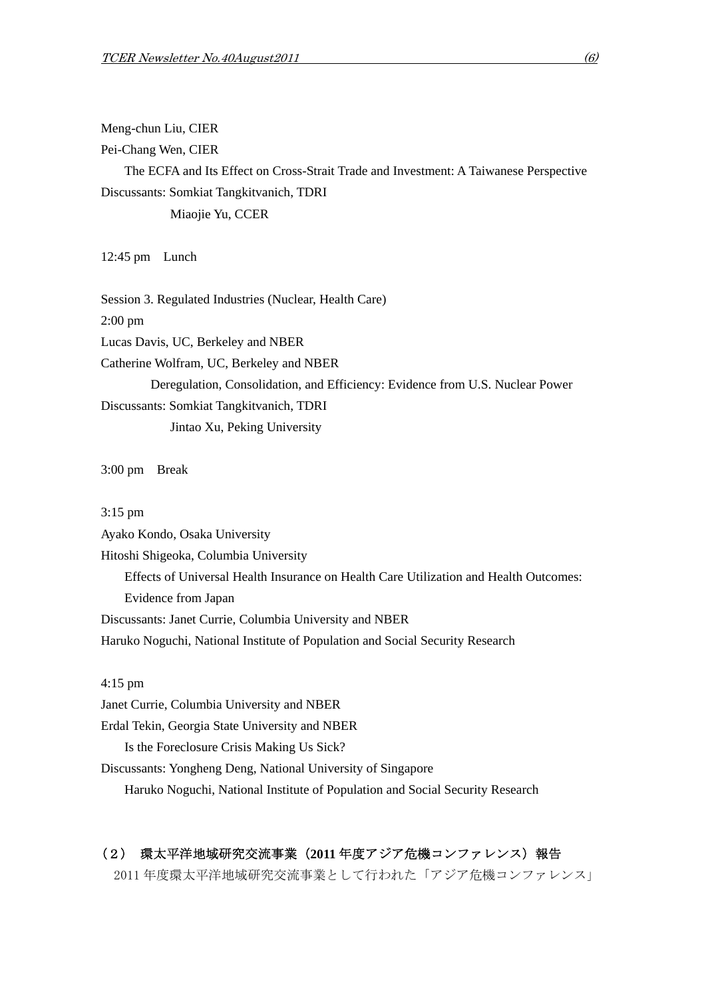Meng-chun Liu, CIER

Pei-Chang Wen, CIER

The ECFA and Its Effect on Cross-Strait Trade and Investment: A Taiwanese Perspective Discussants: Somkiat Tangkitvanich, TDRI Miaojie Yu, CCER

12:45 pm Lunch

Session 3. Regulated Industries (Nuclear, Health Care) 2:00 pm Lucas Davis, UC, Berkeley and NBER Catherine Wolfram, UC, Berkeley and NBER Deregulation, Consolidation, and Efficiency: Evidence from U.S. Nuclear Power Discussants: Somkiat Tangkitvanich, TDRI Jintao Xu, Peking University

3:00 pm Break

3:15 pm

Ayako Kondo, Osaka University Hitoshi Shigeoka, Columbia University Effects of Universal Health Insurance on Health Care Utilization and Health Outcomes: Evidence from Japan Discussants: Janet Currie, Columbia University and NBER Haruko Noguchi, National Institute of Population and Social Security Research

4:15 pm

Janet Currie, Columbia University and NBER

Erdal Tekin, Georgia State University and NBER

Is the Foreclosure Crisis Making Us Sick?

Discussants: Yongheng Deng, National University of Singapore

Haruko Noguchi, National Institute of Population and Social Security Research

# (2) 環太平洋地域研究交流事業(**2011** 年度アジア危機コンファレンス)報告

2011 年度環太平洋地域研究交流事業として行われた「アジア危機コンファレンス」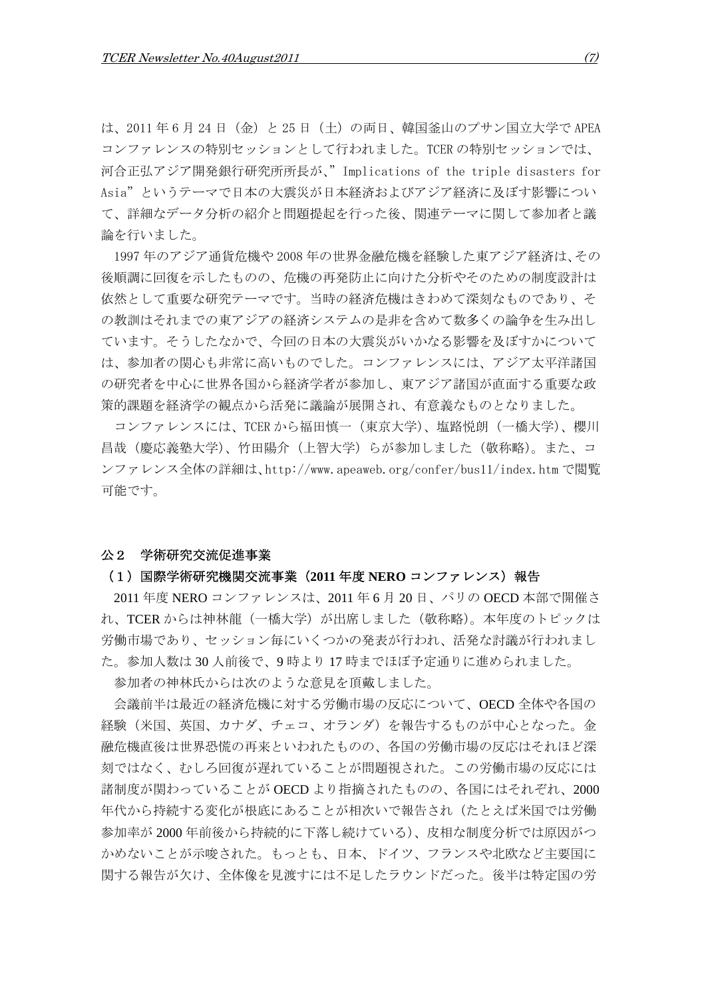は、2011年6月24日 (金)と25日 (土)の両日、韓国釜山のプサン国立大学で APEA コンファレンスの特別セッションとして行われました。TCER の特別セッションでは、 河合正弘アジア開発銀行研究所所長が、"Implications of the triple disasters for Asia"というテーマで日本の大震災が日本経済およびアジア経済に及ぼす影響につい て、詳細なデータ分析の紹介と問題提起を行った後、関連テーマに関して参加者と議 論を行いました。

1997 年のアジア通貨危機や 2008 年の世界金融危機を経験した東アジア経済は、その 後順調に回復を示したものの、危機の再発防止に向けた分析やそのための制度設計は 依然として重要な研究テーマです。当時の経済危機はきわめて深刻なものであり、そ の教訓はそれまでの東アジアの経済システムの是非を含めて数多くの論争を生み出し ています。そうしたなかで、今回の日本の大震災がいかなる影響を及ぼすかについて は、参加者の関心も非常に高いものでした。コンファレンスには、アジア太平洋諸国 の研究者を中心に世界各国から経済学者が参加し、東アジア諸国が直面する重要な政 策的課題を経済学の観点から活発に議論が展開され、有意義なものとなりました。

コンファレンスには、TCER から福田慎一(東京大学)、塩路悦朗(一橋大学)、櫻川 昌哉(慶応義塾大学)、竹田陽介(上智大学)らが参加しました(敬称略)。また、コ ンファレンス全体の詳細は、http://www.apeaweb.org/confer/bus11/index.htm で閲覧 可能です。

### 公2 学術研究交流促進事業

### (1)国際学術研究機関交流事業(**2011** 年度 **NERO** コンファレンス)報告

2011 年度 NERO コンファレンスは、2011 年 6 月 20 日、パリの OECD 本部で開催さ れ、TCER からは神林龍(一橋大学)が出席しました(敬称略)。本年度のトピックは 労働市場であり、セッション毎にいくつかの発表が行われ、活発な討議が行われまし た。参加人数は 30 人前後で、9 時より 17 時までほぼ予定通りに進められました。

参加者の神林氏からは次のような意見を頂戴しました。

会議前半は最近の経済危機に対する労働市場の反応について、OECD 全体や各国の 経験(米国、英国、カナダ、チェコ、オランダ)を報告するものが中心となった。金 融危機直後は世界恐慌の再来といわれたものの、各国の労働市場の反応はそれほど深 刻ではなく、むしろ回復が遅れていることが問題視された。この労働市場の反応には 諸制度が関わっていることが OECD より指摘されたものの、各国にはそれぞれ、2000 年代から持続する変化が根底にあることが相次いで報告され(たとえば米国では労働 参加率が 2000 年前後から持続的に下落し続けている)、皮相な制度分析では原因がつ かめないことが示唆された。もっとも、日本、ドイツ、フランスや北欧など主要国に 関する報告が欠け、全体像を見渡すには不足したラウンドだった。後半は特定国の労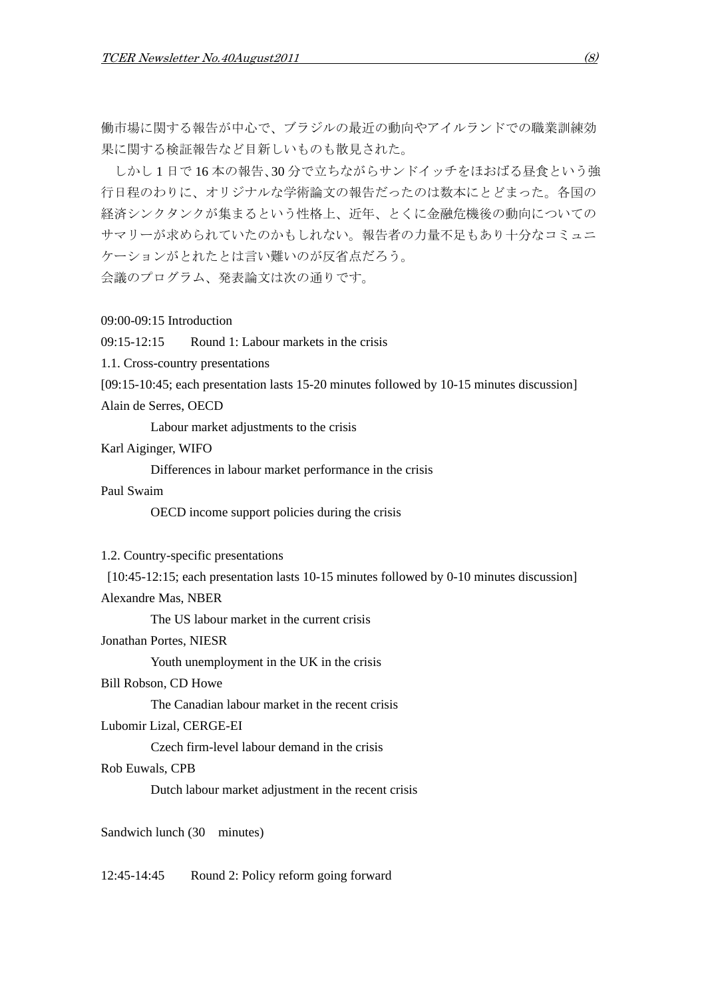働市場に関する報告が中心で、ブラジルの最近の動向やアイルランドでの職業訓練効 果に関する検証報告など目新しいものも散見された。

しかし 1 日で 16 本の報告、30 分で立ちながらサンドイッチをほおばる昼食という強 行日程のわりに、オリジナルな学術論文の報告だったのは数本にとどまった。各国の 経済シンクタンクが集まるという性格上、近年、とくに金融危機後の動向についての サマリーが求められていたのかもしれない。報告者の力量不足もあり十分なコミュニ ケーションがとれたとは言い難いのが反省点だろう。

会議のプログラム、発表論文は次の通りです。

### 09:00-09:15 Introduction

09:15-12:15 Round 1: Labour markets in the crisis

1.1. Cross-country presentations

[09:15-10:45; each presentation lasts 15-20 minutes followed by 10-15 minutes discussion] Alain de Serres, OECD

Labour market adjustments to the crisis

Karl Aiginger, WIFO

Differences in labour market performance in the crisis

Paul Swaim

OECD income support policies during the crisis

### 1.2. Country-specific presentations

[10:45-12:15; each presentation lasts 10-15 minutes followed by 0-10 minutes discussion]

Alexandre Mas, NBER

The US labour market in the current crisis

Jonathan Portes, NIESR

Youth unemployment in the UK in the crisis

# Bill Robson, CD Howe

The Canadian labour market in the recent crisis

Lubomir Lizal, CERGE-EI

Czech firm-level labour demand in the crisis

### Rob Euwals, CPB

Dutch labour market adjustment in the recent crisis

Sandwich lunch (30 minutes)

### 12:45-14:45 Round 2: Policy reform going forward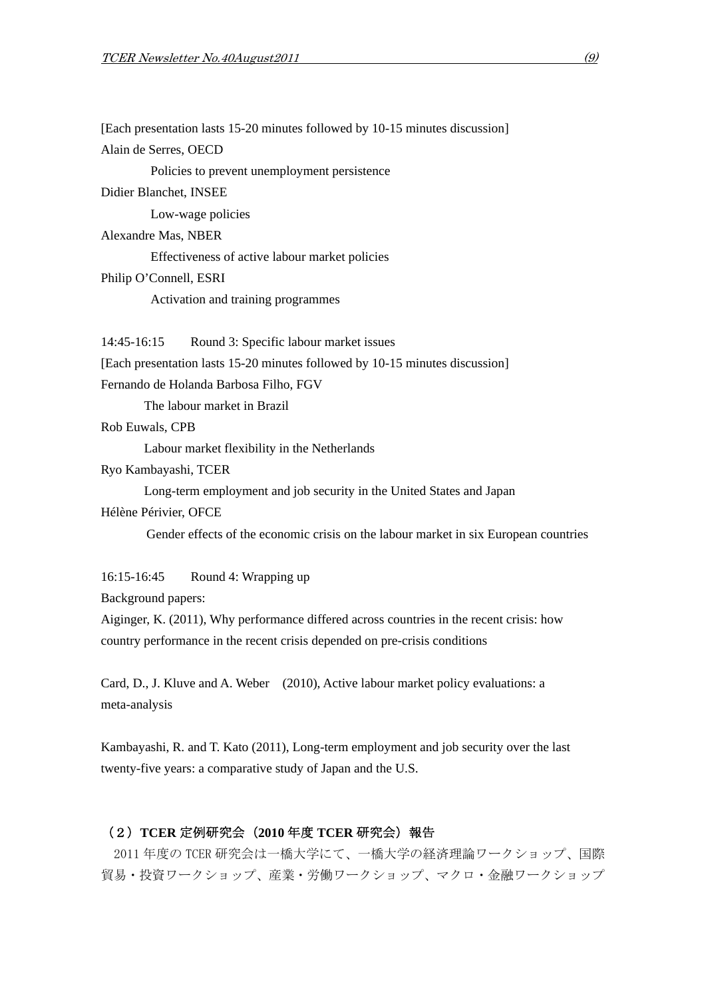[Each presentation lasts 15-20 minutes followed by 10-15 minutes discussion] Alain de Serres, OECD Policies to prevent unemployment persistence Didier Blanchet, INSEE Low-wage policies Alexandre Mas, NBER Effectiveness of active labour market policies Philip O'Connell, ESRI Activation and training programmes 14:45-16:15 Round 3: Specific labour market issues [Each presentation lasts 15-20 minutes followed by 10-15 minutes discussion] Fernando de Holanda Barbosa Filho, FGV The labour market in Brazil Rob Euwals, CPB Labour market flexibility in the Netherlands Ryo Kambayashi, TCER Long-term employment and job security in the United States and Japan Hélène Périvier, OFCE Gender effects of the economic crisis on the labour market in six European countries 16:15-16:45 Round 4: Wrapping up Background papers: Aiginger, K. (2011), Why performance differed across countries in the recent crisis: how country performance in the recent crisis depended on pre-crisis conditions Card, D., J. Kluve and A. Weber (2010), Active labour market policy evaluations: a meta-analysis

Kambayashi, R. and T. Kato (2011), Long-term employment and job security over the last twenty-five years: a comparative study of Japan and the U.S.

# (2)**TCER** 定例研究会(**2010** 年度 **TCER** 研究会)報告

2011 年度の TCER 研究会は一橋大学にて、一橋大学の経済理論ワークショップ、国際 貿易・投資ワークショップ、産業・労働ワークショップ、マクロ・金融ワークショップ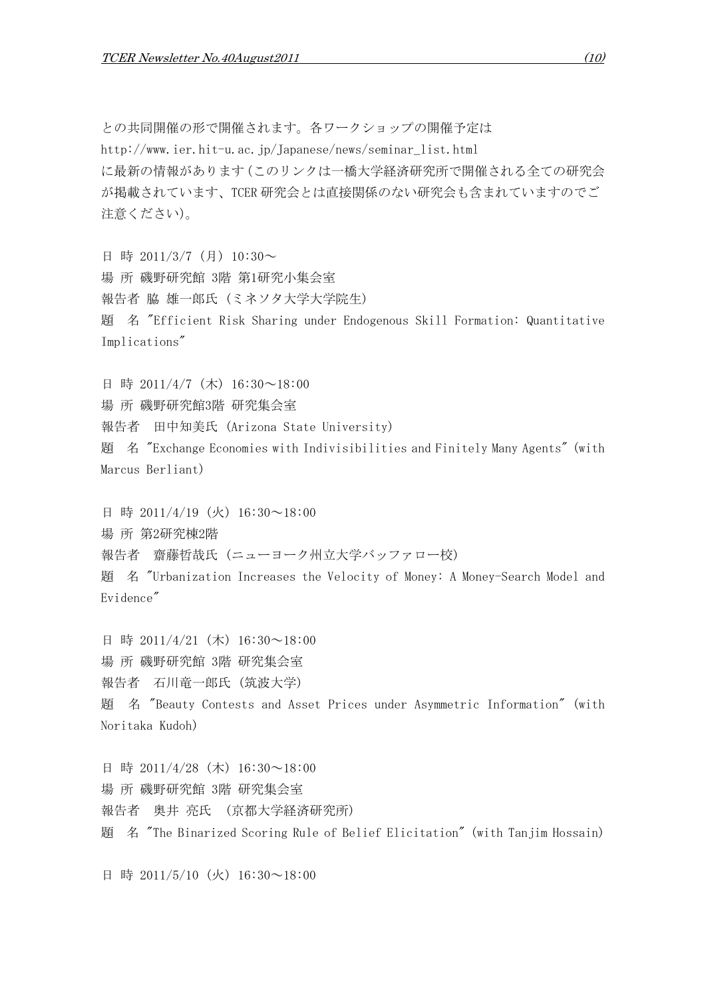との共同開催の形で開催されます。各ワークショップの開催予定は http://www.ier.hit-u.ac.jp/Japanese/news/seminar\_list.html に最新の情報があります(このリンクは一橋大学経済研究所で開催される全ての研究会 が掲載されています、TCER 研究会とは直接関係のない研究会も含まれていますのでご 注意ください)。

日 時 2011/3/7 (月) 10:30~ 場 所 磯野研究館 3階 第1研究小集会室 報告者 脇 雄一郎氏 (ミネソタ大学大学院生) 題 名 "Efficient Risk Sharing under Endogenous Skill Formation: Quantitative Implications"

日 時 2011/4/7 (木) 16:30~18:00

場 所 磯野研究館3階 研究集会室

報告者 田中知美氏 (Arizona State University)

題 名 "Exchange Economies with Indivisibilities and Finitely Many Agents" (with Marcus Berliant)

日 時 2011/4/19 (火) 16:30~18:00 場 所 第2研究棟2階 報告者 齋藤哲哉氏 (ニューヨーク州立大学バッファロー校) 題 名 "Urbanization Increases the Velocity of Money: A Money-Search Model and Evidence"

日 時 2011/4/21 (木) 16:30~18:00 場 所 磯野研究館 3階 研究集会室 報告者 石川竜一郎氏 (筑波大学) 題 名 "Beauty Contests and Asset Prices under Asymmetric Information" (with Noritaka Kudoh)

日 時 2011/4/28 (木) 16:30~18:00 場 所 磯野研究館 3階 研究集会室 報告者 奥井 亮氏 (京都大学経済研究所) 題 名 "The Binarized Scoring Rule of Belief Elicitation" (with Tanjim Hossain)

日 時 2011/5/10 (火) 16:30~18:00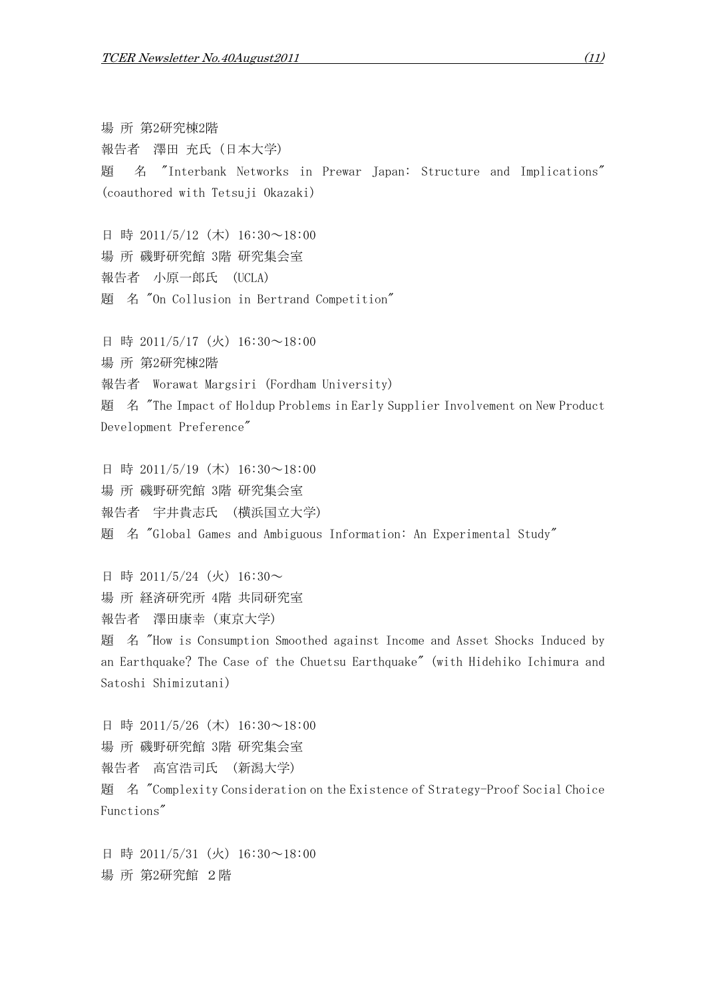場 所 第2研究棟2階 報告者 澤田 充氏 (日本大学) 題 名 "Interbank Networks in Prewar Japan: Structure and Implications" (coauthored with Tetsuji Okazaki)

日 時 2011/5/12 (木) 16:30~18:00 場 所 磯野研究館 3階 研究集会室 報告者 小原一郎氏 (UCLA) 題 名 "On Collusion in Bertrand Competition"

日 時 2011/5/17 (火) 16:30~18:00 場 所 第2研究棟2階 報告者 Worawat Margsiri (Fordham University) 題 名 "The Impact of Holdup Problems in Early Supplier Involvement on New Product Development Preference"

日 時 2011/5/19 (木) 16:30~18:00 場 所 磯野研究館 3階 研究集会室 報告者 宇井貴志氏 (横浜国立大学) 題 名 "Global Games and Ambiguous Information: An Experimental Study"

日 時 2011/5/24 (火) 16:30~ 場 所 経済研究所 4階 共同研究室 報告者 澤田康幸 (東京大学) 題 名 "How is Consumption Smoothed against Income and Asset Shocks Induced by an Earthquake? The Case of the Chuetsu Earthquake" (with Hidehiko Ichimura and Satoshi Shimizutani)

日 時 2011/5/26 (木) 16:30~18:00 場 所 磯野研究館 3階 研究集会室 報告者 高宮浩司氏 (新潟大学) 題 名 "Complexity Consideration on the Existence of Strategy-Proof Social Choice Functions"

日 時 2011/5/31 (火) 16:30~18:00 場 所 第2研究館 2階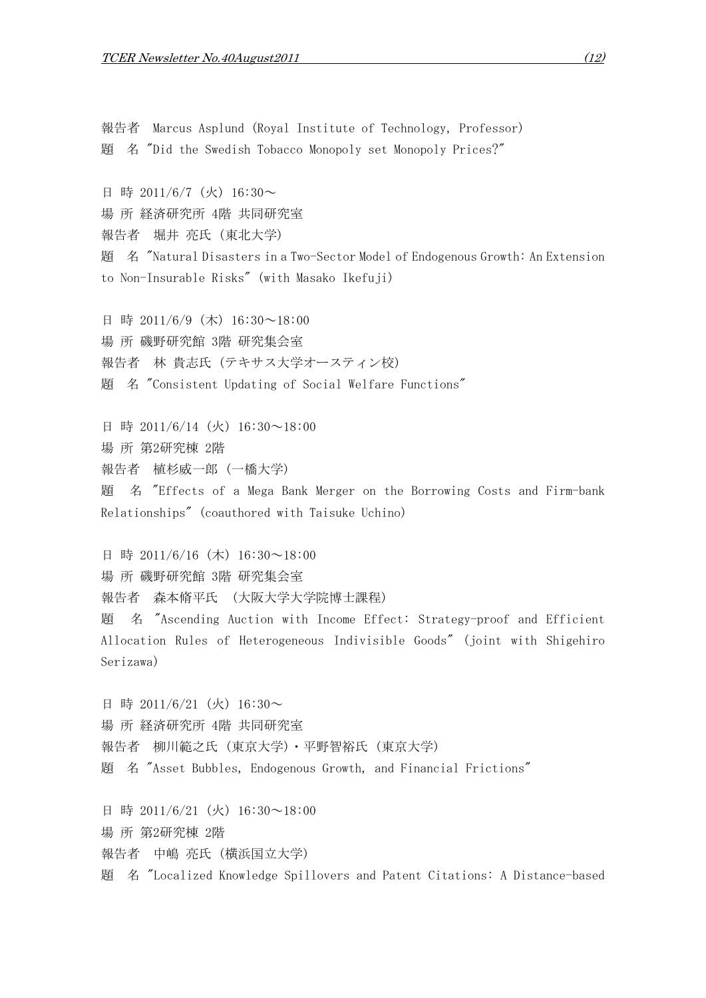報告者 Marcus Asplund (Royal Institute of Technology, Professor) 題 名 "Did the Swedish Tobacco Monopoly set Monopoly Prices?"

日 時 2011/6/7 (火) 16:30~

場 所 経済研究所 4階 共同研究室

報告者 堀井 亮氏 (東北大学)

題 名 "Natural Disasters in a Two-Sector Model of Endogenous Growth: An Extension to Non-Insurable Risks" (with Masako Ikefuji)

日 時 2011/6/9 (木) 16:30~18:00 場 所 磯野研究館 3階 研究集会室 報告者 林 貴志氏 (テキサス大学オースティン校) 題 名 "Consistent Updating of Social Welfare Functions"

日 時 2011/6/14 (火) 16:30~18:00 場 所 第2研究棟 2階 報告者 植杉威一郎 (一橋大学) 題 名 "Effects of a Mega Bank Merger on the Borrowing Costs and Firm-bank Relationships" (coauthored with Taisuke Uchino)

日 時 2011/6/16 (木) 16:30~18:00 場 所 磯野研究館 3階 研究集会室 報告者 森本脩平氏 (大阪大学大学院博士課程) 題 名 "Ascending Auction with Income Effect: Strategy-proof and Efficient Allocation Rules of Heterogeneous Indivisible Goods" (joint with Shigehiro Serizawa)

日 時 2011/6/21 (火) 16:30~ 場 所 経済研究所 4階 共同研究室 報告者 柳川範之氏 (東京大学)・平野智裕氏 (東京大学) 題 名 "Asset Bubbles, Endogenous Growth, and Financial Frictions"

日 時 2011/6/21 (火) 16:30~18:00 場 所 第2研究棟 2階 報告者 中嶋 亮氏 (横浜国立大学) 題 名 "Localized Knowledge Spillovers and Patent Citations: A Distance-based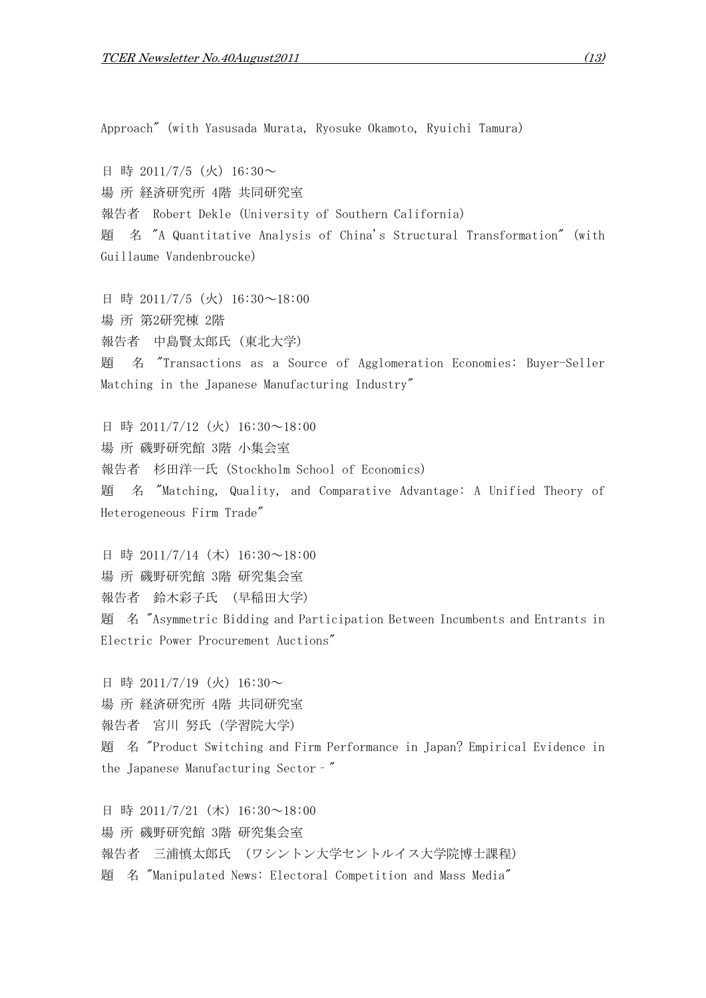Approach" (with Yasusada Murata, Ryosuke Okamoto, Ryuichi Tamura)

日 時 2011/7/5 (火) 16:30~ 場 所 経済研究所 4階 共同研究室 報告者 Robert Dekle (University of Southern California) 題 名 "A Quantitative Analysis of China's Structural Transformation" (with Guillaume Vandenbroucke)

日 時 2011/7/5 (火) 16:30~18:00 場 所 第2研究棟 2階 報告者 中島賢太郎氏 (東北大学) 題 名 "Transactions as a Source of Agglomeration Economies: Buyer-Seller Matching in the Japanese Manufacturing Industry"

日 時 2011/7/12 (火) 16:30~18:00 場 所 磯野研究館 3階 小集会室 報告者 杉田洋一氏 (Stockholm School of Economics) 題 名 "Matching, Quality, and Comparative Advantage: A Unified Theory of Heterogeneous Firm Trade"

日 時 2011/7/14 (木) 16:30~18:00 場 所 磯野研究館 3階 研究集会室 報告者 鈴木彩子氏 (早稲田大学) 題 名 "Asymmetric Bidding and Participation Between Incumbents and Entrants in Electric Power Procurement Auctions"

日 時 2011/7/19 (火) 16:30~ 場 所 経済研究所 4階 共同研究室 報告者 宮川 努氏 (学習院大学) 題 名 "Product Switching and Firm Performance in Japan? Empirical Evidence in the Japanese Manufacturing Sector‐"

日 時 2011/7/21 (木) 16:30~18:00 場 所 磯野研究館 3階 研究集会室 報告者 三浦慎太郎氏 (ワシントン大学セントルイス大学院博士課程) 題 名 "Manipulated News: Electoral Competition and Mass Media"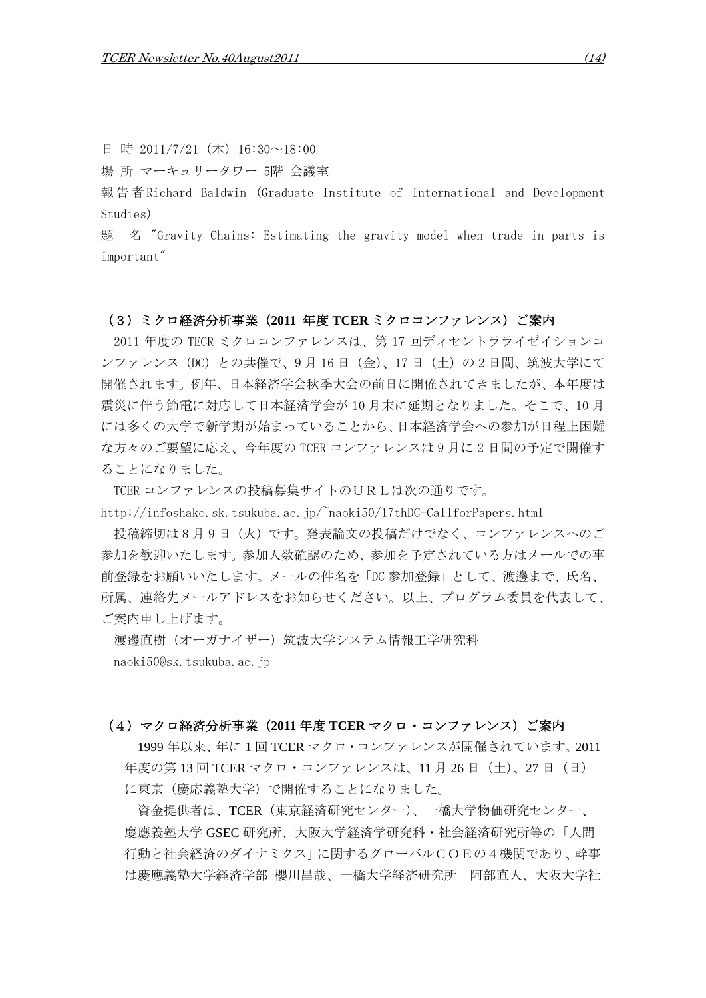日 時 2011/7/21 (木) 16:30~18:00

場 所 マーキュリータワー 5階 会議室

報 告 者 Richard Baldwin (Graduate Institute of International and Development Studies)

題 名 "Gravity Chains: Estimating the gravity model when trade in parts is important"

### (3)ミクロ経済分析事業(**2011** 年度 **TCER** ミクロコンファレンス)ご案内

2011 年度の TECR ミクロコンファレンスは、第 17 回ディセントラライゼイションコ ンファレンス(DC)との共催で、9 月 16 日(金)、17 日(土)の 2 日間、筑波大学にて 開催されます。例年、日本経済学会秋季大会の前日に開催されてきましたが、本年度は 震災に伴う節電に対応して日本経済学会が 10 月末に延期となりました。そこで、10 月 には多くの大学で新学期が始まっていることから、日本経済学会への参加が日程上困難 な方々のご要望に応え、今年度の TCER コンファレンスは 9 月に 2 日間の予定で開催す ることになりました。

TCER コンファレンスの投稿募集サイトのURLは次の通りです。

http://infoshako.sk.tsukuba.ac.jp/~naoki50/17thDC-CallforPapers.html

投稿締切は 8 月 9 日(火)です。発表論文の投稿だけでなく、コンファレンスへのご 参加を歓迎いたします。参加人数確認のため、参加を予定されている方はメールでの事 前登録をお願いいたします。メールの件名を「DC 参加登録」として、渡邊まで、氏名、 所属、連絡先メールアドレスをお知らせください。以上、プログラム委員を代表して、 ご案内申し上げます。

渡邊直樹(オーガナイザー)筑波大学システム情報工学研究科 naoki50@sk.tsukuba.ac.jp

### (4)マクロ経済分析事業(**2011** 年度 **TCER** マクロ・コンファレンス)ご案内

1999 年以来、年に1回 TCER マクロ・コンファレンスが開催されています。2011 年度の第 13 回 TCER マクロ・コンファレンスは、11 月 26 日(土)、27 日(日) に東京(慶応義塾大学)で開催することになりました。

資金提供者は、TCER(東京経済研究センター)、一橋大学物価研究センター、 慶應義塾大学 GSEC 研究所、大阪大学経済学研究科・社会経済研究所等の「人間 行動と社会経済のダイナミクス」に関するグローバルCOEの4機関であり、幹事 は慶應義塾大学経済学部 櫻川昌哉、一橋大学経済研究所 阿部直人、大阪大学社